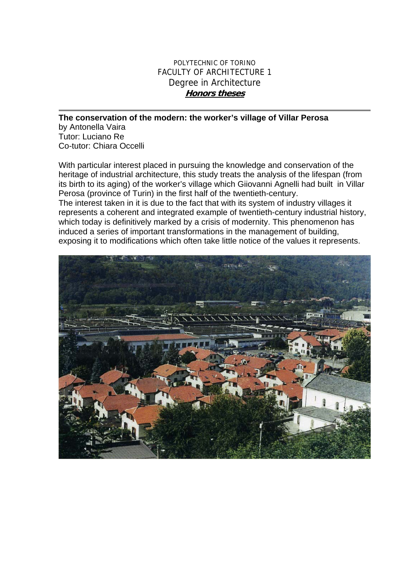## POLYTECHNIC OF TORINO FACULTY OF ARCHITECTURE 1 Degree in Architecture **Honors theses**

## **The conservation of the modern: the worker's village of Villar Perosa**

by Antonella Vaira Tutor: Luciano Re Co-tutor: Chiara Occelli

With particular interest placed in pursuing the knowledge and conservation of the heritage of industrial architecture, this study treats the analysis of the lifespan (from its birth to its aging) of the worker's village which Giiovanni Agnelli had built in Villar Perosa (province of Turin) in the first half of the twentieth-century.

The interest taken in it is due to the fact that with its system of industry villages it represents a coherent and integrated example of twentieth-century industrial history, which today is definitively marked by a crisis of modernity. This phenomenon has induced a series of important transformations in the management of building, exposing it to modifications which often take little notice of the values it represents.

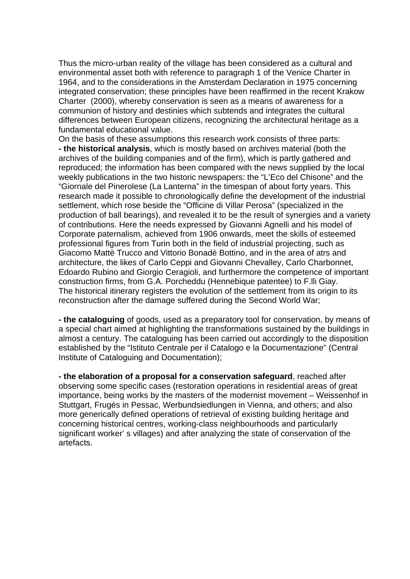Thus the micro-urban reality of the village has been considered as a cultural and environmental asset both with reference to paragraph 1 of the Venice Charter in 1964, and to the considerations in the Amsterdam Declaration in 1975 concerning integrated conservation; these principles have been reaffirmed in the recent Krakow Charter (2000), whereby conservation is seen as a means of awareness for a communion of history and destinies which subtends and integrates the cultural differences between European citizens, recognizing the architectural heritage as a fundamental educational value.

On the basis of these assumptions this research work consists of three parts: **- the historical analysis**, which is mostly based on archives material (both the archives of the building companies and of the firm), which is partly gathered and reproduced; the information has been compared with the news supplied by the local weekly publications in the two historic newspapers: the "L'Eco del Chisone" and the "Giornale del Pinerolese (La Lanterna" in the timespan of about forty years. This research made it possible to chronologically define the development of the industrial settlement, which rose beside the "Officine di Villar Perosa" (specialized in the production of ball bearings), and revealed it to be the result of synergies and a variety of contributions. Here the needs expressed by Giovanni Agnelli and his model of Corporate paternalism, achieved from 1906 onwards, meet the skills of esteemed professional figures from Turin both in the field of industrial projecting, such as Giacomo Mattè Trucco and Vittorio Bonadè Bottino, and in the area of atrs and architecture, the likes of Carlo Ceppi and Giovanni Chevalley, Carlo Charbonnet, Edoardo Rubino and Giorgio Ceragioli, and furthermore the competence of important construction firms, from G.A. Porcheddu (Hennebique patentee) to F.lli Giay. The historical itinerary registers the evolution of the settlement from its origin to its reconstruction after the damage suffered during the Second World War;

**- the cataloguing** of goods, used as a preparatory tool for conservation, by means of a special chart aimed at highlighting the transformations sustained by the buildings in almost a century. The cataloguing has been carried out accordingly to the disposition established by the "Istituto Centrale per il Catalogo e la Documentazione" (Central Institute of Cataloguing and Documentation);

**- the elaboration of a proposal for a conservation safeguard**, reached after observing some specific cases (restoration operations in residential areas of great importance, being works by the masters of the modernist movement – Weissenhof in Stuttgart. Frugès in Pessac, Werbundsiedlungen in Vienna, and others; and also more generically defined operations of retrieval of existing building heritage and concerning historical centres, working-class neighbourhoods and particularly significant worker' s villages) and after analyzing the state of conservation of the artefacts.